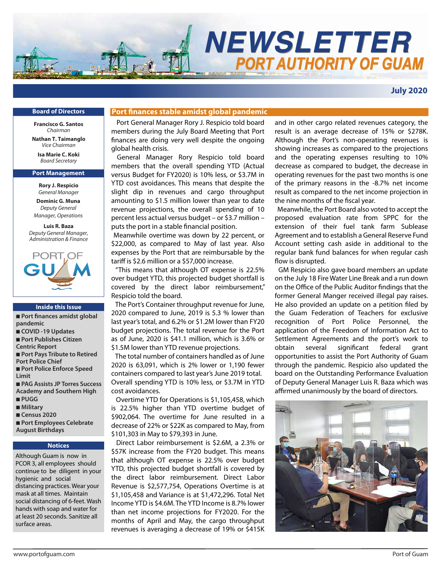

**July 2020**

### **Board of Directors**

**Francisco G. Santos** *Chairman*

**Nathan T. Taimanglo** *Vice Chairman* **Isa Marie C. Koki**

*Board Secretary*

### **Port Management**

**Rory J. Respicio** *General Manager*

**Dominic G. Muna** *Deputy General Manager, Operations*

**Luis R. Baza** *Deputy General Manager, Administration & Finance*



### **Inside this Issue**

- Port finances amidst global **pandemic** ■ **COVID -19 Updates**  ■ **Port Publishes Citizen Centric Report** ■ **Port Pays Tribute to Retired Port Police Chief** ■ **Port Police Enforce Speed Limit** ■ **PAG Assists JP Torres Success Academy and Southern High** ■ **PUGG** ■ **Military** ■ **Census 2020**
- Port Employees Celebrate **August Birthdays**

### **Notices**

Although Guam is now in PCOR 3, all employees should continue to be diligent in your hygienic and social distancing practices. Wear your mask at all times. Maintain social distancing of 6-feet. Wash hands with soap and water for at least 20 seconds. Sanitize all surface areas.

### **Port finances stable amidst global pandemic**

 Port General Manager Rory J. Respicio told board members during the July Board Meeting that Port nances are doing very well despite the ongoing global health crisis.

 General Manager Rory Respicio told board members that the overall spending YTD (Actual versus Budget for FY2020) is 10% less, or \$3.7M in YTD cost avoidances. This means that despite the slight dip in revenues and cargo throughput amounting to \$1.5 million lower than year to date revenue projections, the overall spending of 10 percent less actual versus budget – or \$3.7 million – puts the port in a stable financial position.

 Meanwhile overtime was down by 22 percent, or \$22,000, as compared to May of last year. Also expenses by the Port that are reimbursable by the tariff is \$2.6 million or a \$57,000 increase.

 "This means that although OT expense is 22.5% over budget YTD, this projected budget shortfall is covered by the direct labor reimbursement," Respicio told the board.

 The Port's Container throughput revenue for June, 2020 compared to June, 2019 is 5.3 % lower than last year's total, and 6.2% or \$1.2M lower than FY20 budget projections. The total revenue for the Port as of June, 2020 is \$41.1 million, which is 3.6% or \$1.5M lower than YTD revenue projections.

 The total number of containers handled as of June 2020 is 63,091, which is 2% lower or 1,190 fewer containers compared to last year's June 2019 total. Overall spending YTD is 10% less, or \$3.7M in YTD cost avoidances.

 Overtime YTD for Operations is \$1,105,458, which is 22.5% higher than YTD overtime budget of \$902,064. The overtime for June resulted in a decrease of 22% or \$22K as compared to May, from \$101,303 in May to \$79,393 in June.

 Direct Labor reimbursement is \$2.6M, a 2.3% or \$57K increase from the FY20 budget. This means that although OT expense is 22.5% over budget YTD, this projected budget shortfall is covered by the direct labor reimbursement. Direct Labor Revenue is \$2,577,754, Operations Overtime is at \$1,105,458 and Variance is at \$1,472,296. Total Net Income YTD is \$4.6M. The YTD Income is 8.7% lower than net income projections for FY2020. For the months of April and May, the cargo throughput revenues is averaging a decrease of 19% or \$415K and in other cargo related revenues category, the result is an average decrease of 15% or \$278K. Although the Port's non-operating revenues is showing increases as compared to the projections and the operating expenses resulting to 10% decrease as compared to budget, the decrease in operating revenues for the past two months is one of the primary reasons in the -8.7% net income result as compared to the net income projection in the nine months of the fiscal year.

 Meanwhile, the Port Board also voted to accept the proposed evaluation rate from SPPC for the extension of their fuel tank farm Sublease Agreement and to establish a General Reserve Fund Account setting cash aside in additional to the regular bank fund balances for when regular cash flow is disrupted.

 GM Respicio also gave board members an update on the July 18 Fire Water Line Break and a run down on the Office of the Public Auditor findings that the former General Manger received illegal pay raises. He also provided an update on a petition filed by the Guam Federation of Teachers for exclusive recognition of Port Police Personnel, the application of the Freedom of Information Act to Settlement Agreements and the port's work to obtain several significant federal grant opportunities to assist the Port Authority of Guam through the pandemic. Respicio also updated the board on the Outstanding Performance Evaluation of Deputy General Manager Luis R. Baza which was affirmed unanimously by the board of directors.

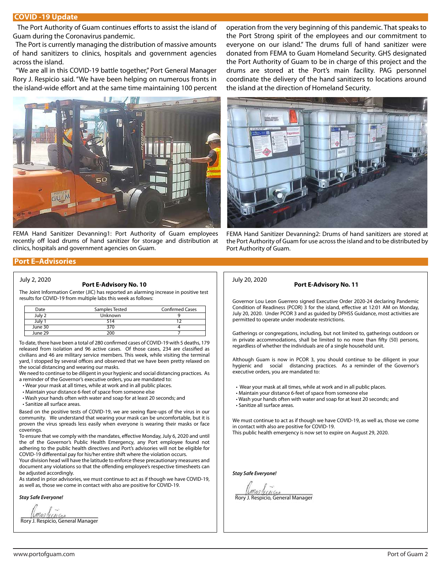### **COVID -19 Update**

The Port Authority of Guam continues efforts to assist the island of Guam during the Coronavirus pandemic.

 The Port is currently managing the distribution of massive amounts of hand sanitizers to clinics, hospitals and government agencies across the island.

 "We are all in this COVID-19 battle together," Port General Manager Rory J. Respicio said. "We have been helping on numerous fronts in the island-wide effort and at the same time maintaining 100 percent



FEMA Hand Sanitizer Devanning1: Port Authority of Guam employees recently off load drums of hand sanitizer for storage and distribution at clinics, hospitals and government agencies on Guam.

### **Port E–Advisories**

### July 20, 2020 **Port E-Advisory No. 10** July 2, 2020

The Joint Information Center (JIC) has reported an alarming increase in positive test results for COVID-19 from multiple labs this week as follows:

| Date    | Samples Tested | <b>Confirmed Cases</b> |
|---------|----------------|------------------------|
| July 2  | Unknown        |                        |
|         | 514            |                        |
| June 30 |                |                        |
| June 29 | ንበበ            |                        |

To date, there have been a total of 280 confirmed cases of COVID-19 with 5 deaths, 179 released from isolation and 96 active cases. Of those cases, 234 are classified as civilians and 46 are military service members. This week, while visiting the terminal yard, I stopped by several offices and observed that we have been pretty relaxed on the social distancing and wearing our masks.

We need to continue to be diligent in your hygienic and social distancing practices. As a reminder of the Governor's executive orders, you are mandated to:

- Wear your mask at all times, while at work and in all public places.
- Maintain your distance 6-feet of space from someone else
- Wash your hands often with water and soap for at least 20 seconds; and
- Sanitize all surface areas.

Based on the positive tests of COVID-19, we are seeing flare-ups of the virus in our community. We understand that wearing your mask can be uncomfortable, but it is proven the virus spreads less easily when everyone is wearing their masks or face coverings.

To ensure that we comply with the mandates, effective Monday, July 6, 2020 and until the of the Governor's Public Health Emergency, any Port employee found not adhering to the public health directives and Port's advisories will not be eligible for COVID-19 differential pay for his/her entire shift where the violation occurs.

Your division head will have the latitude to enforce these precautionary measures and document any violations so that the offending employee's respective timesheets can be adjusted accordingly.

As stated in prior advisories, we must continue to act as if though we have COVID-19, as well as, those we come in contact with also are positive for COVID-19.

*Stay Safe Everyone!*

*Manderal Green*<br>Rory J. Respicio, General Manager

operation from the very beginning of this pandemic. That speaks to the Port Strong spirit of the employees and our commitment to everyone on our island." The drums full of hand sanitizer were donated from FEMA to Guam Homeland Security. GHS designated the Port Authority of Guam to be in charge of this project and the drums are stored at the Port's main facility. PAG personnel coordinate the delivery of the hand sanitizers to locations around the island at the direction of Homeland Security.



FEMA Hand Sanitizer Devanning2: Drums of hand sanitizers are stored at the Port Authority of Guam for use across the island and to be distributed by Port Authority of Guam.

### **Port E-Advisory No. 11**

Governor Lou Leon Guerrero signed Executive Order 2020-24 declaring Pandemic Condition of Readiness (PCOR) 3 for the island, effective at 12:01 AM on Monday, July 20, 2020. Under PCOR 3 and as guided by DPHSS Guidance, most activities are permitted to operate under moderate restrictions.

Gatherings or congregations, including, but not limited to, gatherings outdoors or in private accommodations, shall be limited to no more than fifty (50) persons, regardless of whether the individuals are of a single household unit.

Although Guam is now in PCOR 3, you should continue to be diligent in your hygienic and social distancing practices. As a reminder of the Governor's executive orders, you are mandated to:

- Wear your mask at all times, while at work and in all public places.
- Maintain your distance 6-feet of space from someone else
- Wash your hands often with water and soap for at least 20 seconds; and • Sanitize all surface areas.

We must continue to act as if though we have COVID-19, as well as, those we come in contact with also are positive for COVID-19. This public health emergency is now set to expire on August 29, 2020.

*Stay Safe Everyone!*

CALCON Rory J. Respicio, General Manager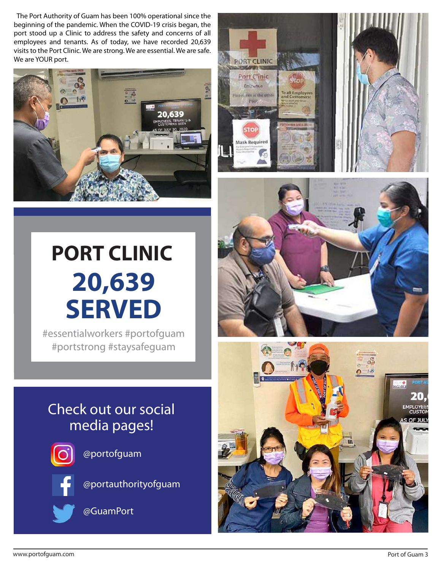The Port Authority of Guam has been 100% operational since the beginning of the pandemic. When the COVID-19 crisis began, the port stood up a Clinic to address the safety and concerns of all employees and tenants. As of today, we have recorded 20,639 visits to the Port Clinic. We are strong. We are essential. We are safe. We are YOUR port.





# **PORT CLINIC 20,639 SERVED**

#essentialworkers #portofguam #portstrong #staysafeguam

## Check out our social media pages!



@portofguam



@portauthorityofguam



@GuamPort



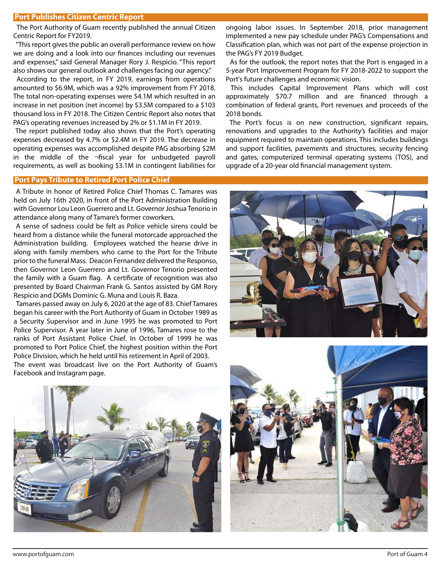### **Port Publishes Citizen Centric Report**

 The Port Authority of Guam recently published the annual Citizen Centric Report for FY2019.

 "This report gives the public an overall performance review on how we are doing and a look into our finances including our revenues and expenses," said General Manager Rory J. Respicio. "This report also shows our general outlook and challenges facing our agency."

 According to the report, in FY 2019, earnings from operations amounted to \$6.9M, which was a 92% improvement from FY 2018. The total non-operating expenses were \$4.1M which resulted in an increase in net position (net income) by \$3.5M compared to a \$103 thousand loss in FY 2018. The Citizen Centric Report also notes that PAG's operating revenues increased by 2% or \$1.1M in FY 2019.

 The report published today also shows that the Port's operating expenses decreased by 4.7% or \$2.4M in FY 2019. The decrease in operating expenses was accomplished despite PAG absorbing \$2M in the middle of the  $\neg$ fiscal year for unbudgeted payroll requirements, as well as booking \$3.1M in contingent liabilities for

### **Port Pays Tribute to Retired Port Police Chief**

 A Tribute in honor of Retired Police Chief Thomas C. Tamares was held on July 16th 2020, in front of the Port Administration Building with Governor Lou Leon Guerrero and Lt. Governor Joshua Tenorio in attendance along many of Tamare's former coworkers.

 A sense of sadness could be felt as Police vehicle sirens could be heard from a distance while the funeral motorcade approached the Administration building. Employees watched the hearse drive in along with family members who came to the Port for the Tribute prior to the funeral Mass. Deacon Fernandez delivered the Responso, then Governor Leon Guerrero and Lt. Governor Tenorio presented the family with a Guam flag. A certificate of recognition was also presented by Board Chairman Frank G. Santos assisted by GM Rory Respicio and DGMs Dominic G. Muna and Louis R. Baza.

 Tamares passed away on July 6, 2020 at the age of 83. Chief Tamares began his career with the Port Authority of Guam in October 1989 as a Security Supervisor and in June 1995 he was promoted to Port Police Supervisor. A year later in June of 1996, Tamares rose to the ranks of Port Assistant Police Chief. In October of 1999 he was promoted to Port Police Chief, the highest position within the Port Police Division, which he held until his retirement in April of 2003. The event was broadcast live on the Port Authority of Guam's

Facebook and Instagram page.

ongoing labor issues. In September 2018, prior management implemented a new pay schedule under PAG's Compensations and Classification plan, which was not part of the expense projection in the PAG's FY 2019 Budget.

 As for the outlook, the report notes that the Port is engaged in a 5-year Port Improvement Program for FY 2018-2022 to support the Port's future challenges and economic vision.

 This includes Capital Improvement Plans which will cost approximately \$70.7 million and are financed through a combination of federal grants, Port revenues and proceeds of the 2018 bonds.

The Port's focus is on new construction, significant repairs, renovations and upgrades to the Authority's facilities and major equipment required to maintain operations. This includes buildings and support facilities, pavements and structures, security fencing and gates, computerized terminal operating systems (TOS), and upgrade of a 20-year old financial management system.





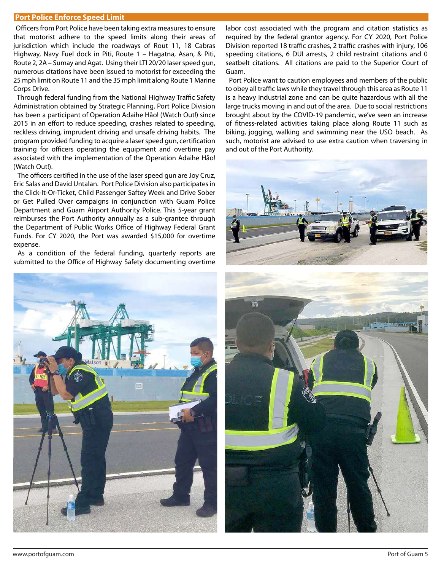### **Port Police Enforce Speed Limit**

Officers from Port Police have been taking extra measures to ensure that motorist adhere to the speed limits along their areas of jurisdiction which include the roadways of Rout 11, 18 Cabras Highway, Navy Fuel dock in Piti, Route 1 – Hagatna, Asan, & Piti, Route 2, 2A – Sumay and Agat. Using their LTI 20/20 laser speed gun, numerous citations have been issued to motorist for exceeding the 25 mph limit on Route 11 and the 35 mph limit along Route 1 Marine Corps Drive.

Through federal funding from the National Highway Traffic Safety Administration obtained by Strategic Planning, Port Police Division has been a participant of Operation Adaihe Håo! (Watch Out!) since 2015 in an effort to reduce speeding, crashes related to speeding, reckless driving, imprudent driving and unsafe driving habits. The program provided funding to acquire a laser speed gun, certification training for officers operating the equipment and overtime pay associated with the implementation of the Operation Adaihe Håo! (Watch Out!).

The officers certified in the use of the laser speed gun are Joy Cruz, Eric Salas and David Untalan. Port Police Division also participates in the Click-It-Or-Ticket, Child Passenger Saftey Week and Drive Sober or Get Pulled Over campaigns in conjunction with Guam Police Department and Guam Airport Authority Police. This 5-year grant reimburses the Port Authority annually as a sub-grantee through the Department of Public Works Office of Highway Federal Grant Funds. For CY 2020, the Port was awarded \$15,000 for overtime expense.

 As a condition of the federal funding, quarterly reports are submitted to the Office of Highway Safety documenting overtime labor cost associated with the program and citation statistics as required by the federal grantor agency. For CY 2020, Port Police Division reported 18 traffic crashes, 2 traffic crashes with injury, 106 speeding citations, 6 DUI arrests, 2 child restraint citations and 0 seatbelt citations. All citations are paid to the Superior Court of Guam.

 Port Police want to caution employees and members of the public to obey all traffic laws while they travel through this area as Route 11 is a heavy industrial zone and can be quite hazardous with all the large trucks moving in and out of the area. Due to social restrictions brought about by the COVID-19 pandemic, we've seen an increase of fitness-related activities taking place along Route 11 such as biking, jogging, walking and swimming near the USO beach. As such, motorist are advised to use extra caution when traversing in and out of the Port Authority.





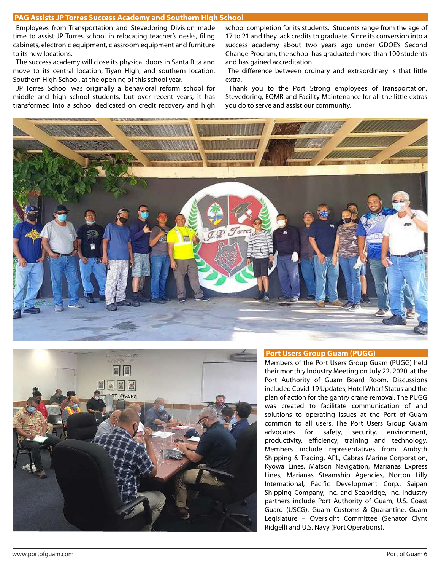Employees from Transportation and Stevedoring Division made time to assist JP Torres school in relocating teacher's desks, filing cabinets, electronic equipment, classroom equipment and furniture to its new locations.

 The success academy will close its physical doors in Santa Rita and move to its central location, Tiyan High, and southern location, Southern High School, at the opening of this school year.

 JP Torres School was originally a behavioral reform school for middle and high school students, but over recent years, it has transformed into a school dedicated on credit recovery and high school completion for its students. Students range from the age of 17 to 21 and they lack credits to graduate. Since its conversion into a success academy about two years ago under GDOE's Second Change Program, the school has graduated more than 100 students and has gained accreditation.

The difference between ordinary and extraordinary is that little extra.

 Thank you to the Port Strong employees of Transportation, Stevedoring, EQMR and Facility Maintenance for all the little extras you do to serve and assist our community.





### **Port Users Group Guam (PUGG)**

Members of the Port Users Group Guam (PUGG) held their monthly Industry Meeting on July 22, 2020 at the Port Authority of Guam Board Room. Discussions included Covid-19 Updates, Hotel Wharf Status and the plan of action for the gantry crane removal. The PUGG was created to facilitate communication of and solutions to operating issues at the Port of Guam common to all users. The Port Users Group Guam advocates for safety, security, environment, productivity, efficiency, training and technology. Members include representatives from Ambyth Shipping & Trading, APL, Cabras Marine Corporation, Kyowa Lines, Matson Navigation, Marianas Express Lines, Marianas Steamship Agencies, Norton Lilly International, Pacific Development Corp., Saipan Shipping Company, Inc. and Seabridge, Inc. Industry partners include Port Authority of Guam, U.S. Coast Guard (USCG), Guam Customs & Quarantine, Guam Legislature – Oversight Committee (Senator Clynt Ridgell) and U.S. Navy (Port Operations).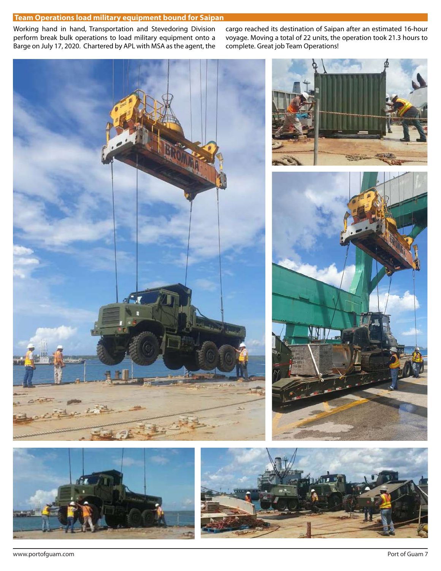### **Team Operations load military equipment bound for Saipan**

Working hand in hand, Transportation and Stevedoring Division perform break bulk operations to load military equipment onto a Barge on July 17, 2020. Chartered by APL with MSA as the agent, the

cargo reached its destination of Saipan after an estimated 16-hour voyage. Moving a total of 22 units, the operation took 21.3 hours to complete. Great job Team Operations!